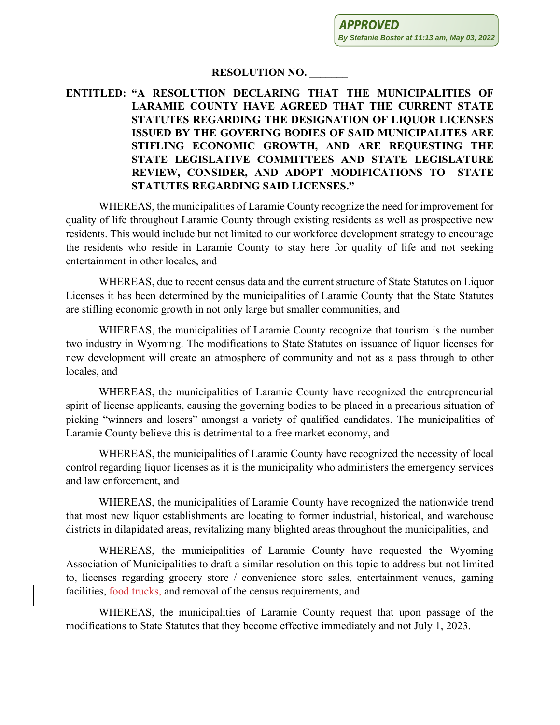## **RESOLUTION NO. \_\_\_\_\_\_\_**

## **ENTITLED: "A RESOLUTION DECLARING THAT THE MUNICIPALITIES OF LARAMIE COUNTY HAVE AGREED THAT THE CURRENT STATE STATUTES REGARDING THE DESIGNATION OF LIQUOR LICENSES ISSUED BY THE GOVERING BODIES OF SAID MUNICIPALITES ARE STIFLING ECONOMIC GROWTH, AND ARE REQUESTING THE STATE LEGISLATIVE COMMITTEES AND STATE LEGISLATURE REVIEW, CONSIDER, AND ADOPT MODIFICATIONS TO STATE STATUTES REGARDING SAID LICENSES."**

WHEREAS, the municipalities of Laramie County recognize the need for improvement for quality of life throughout Laramie County through existing residents as well as prospective new residents. This would include but not limited to our workforce development strategy to encourage the residents who reside in Laramie County to stay here for quality of life and not seeking entertainment in other locales, and

WHEREAS, due to recent census data and the current structure of State Statutes on Liquor Licenses it has been determined by the municipalities of Laramie County that the State Statutes are stifling economic growth in not only large but smaller communities, and

WHEREAS, the municipalities of Laramie County recognize that tourism is the number two industry in Wyoming. The modifications to State Statutes on issuance of liquor licenses for new development will create an atmosphere of community and not as a pass through to other locales, and

WHEREAS, the municipalities of Laramie County have recognized the entrepreneurial spirit of license applicants, causing the governing bodies to be placed in a precarious situation of picking "winners and losers" amongst a variety of qualified candidates. The municipalities of Laramie County believe this is detrimental to a free market economy, and

WHEREAS, the municipalities of Laramie County have recognized the necessity of local control regarding liquor licenses as it is the municipality who administers the emergency services and law enforcement, and

WHEREAS, the municipalities of Laramie County have recognized the nationwide trend that most new liquor establishments are locating to former industrial, historical, and warehouse districts in dilapidated areas, revitalizing many blighted areas throughout the municipalities, and

WHEREAS, the municipalities of Laramie County have requested the Wyoming Association of Municipalities to draft a similar resolution on this topic to address but not limited to, licenses regarding grocery store / convenience store sales, entertainment venues, gaming facilities, food trucks, and removal of the census requirements, and

WHEREAS, the municipalities of Laramie County request that upon passage of the modifications to State Statutes that they become effective immediately and not July 1, 2023.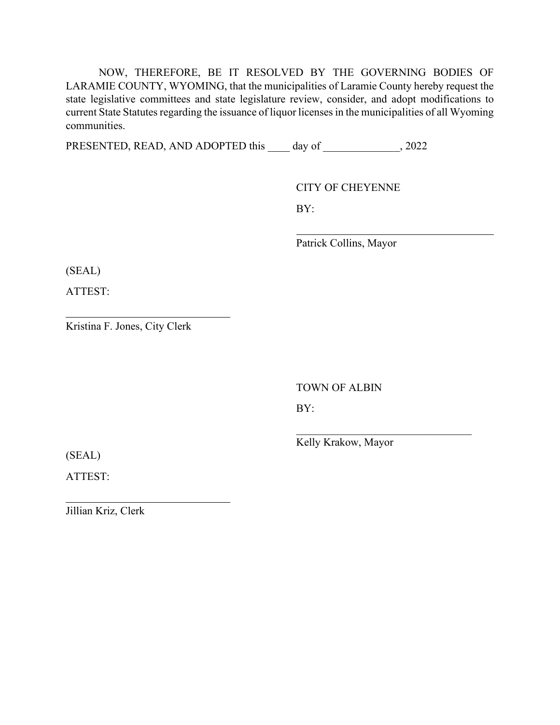NOW, THEREFORE, BE IT RESOLVED BY THE GOVERNING BODIES OF LARAMIE COUNTY, WYOMING, that the municipalities of Laramie County hereby request the state legislative committees and state legislature review, consider, and adopt modifications to current State Statutes regarding the issuance of liquor licenses in the municipalities of all Wyoming communities.

PRESENTED, READ, AND ADOPTED this \_\_\_\_ day of \_\_\_\_\_\_\_\_\_\_\_\_\_, 2022

CITY OF CHEYENNE

BY:

Patrick Collins, Mayor

(SEAL)

ATTEST:

Kristina F. Jones, City Clerk

TOWN OF ALBIN

BY:

Kelly Krakow, Mayor

 $\mathcal{L}_\text{max}$  , which is a set of the set of the set of the set of the set of the set of the set of the set of the set of the set of the set of the set of the set of the set of the set of the set of the set of the set of

(SEAL)

ATTEST:

Jillian Kriz, Clerk